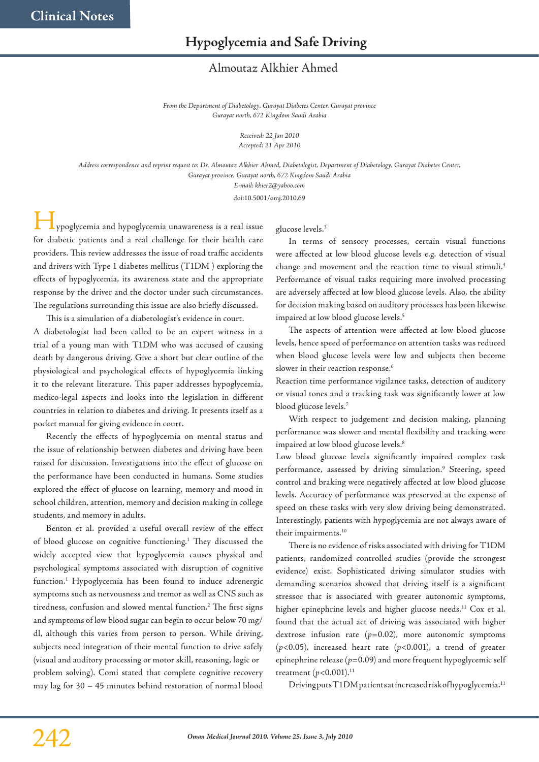## **Hypoglycemia and Safe Driving**

## Almoutaz Alkhier Ahmed

*From the Department of Diabetology, Gurayat Diabetes Center, Gurayat province Gurayat north, 672 Kingdom Saudi Arabia*

> *Received: 22 Jan 2010 Accepted: 21 Apr 2010*

*Address correspondence and reprint request to: Dr. Almoutaz Alkhier Ahmed, Diabetologist, Department of Diabetology, Gurayat Diabetes Center, Gurayat province, Gurayat north, 672 Kingdom Saudi Arabia*

*E-mail: khier2@yahoo.com*

doi:10.5001/omj.2010.69

ypoglycemia and hypoglycemia unawareness is a real issue for diabetic patients and a real challenge for their health care providers. This review addresses the issue of road traffic accidents and drivers with Type 1 diabetes mellitus (T1DM ) exploring the effects of hypoglycemia, its awareness state and the appropriate response by the driver and the doctor under such circumstances. The regulations surrounding this issue are also briefly discussed.

This is a simulation of a diabetologist's evidence in court.

A diabetologist had been called to be an expert witness in a trial of a young man with T1DM who was accused of causing death by dangerous driving. Give a short but clear outline of the physiological and psychological effects of hypoglycemia linking it to the relevant literature. This paper addresses hypoglycemia, medico-legal aspects and looks into the legislation in different countries in relation to diabetes and driving. It presents itself as a pocket manual for giving evidence in court.

Recently the effects of hypoglycemia on mental status and the issue of relationship between diabetes and driving have been raised for discussion. Investigations into the effect of glucose on the performance have been conducted in humans. Some studies explored the effect of glucose on learning, memory and mood in school children, attention, memory and decision making in college students, and memory in adults.

Benton et al. provided a useful overall review of the effect of blood glucose on cognitive functioning. <sup>1</sup> They discussed the widely accepted view that hypoglycemia causes physical and psychological symptoms associated with disruption of cognitive function. <sup>1</sup> Hypoglycemia has been found to induce adrenergic symptoms such as nervousness and tremor as well as CNS such as tiredness, confusion and slowed mental function. <sup>2</sup> The first signs and symptoms of low blood sugar can begin to occur below 70 mg/ dl, although this varies from person to person. While driving, subjects need integration of their mental function to drive safely (visual and auditory processing or motor skill, reasoning, logic or problem solving). Comi stated that complete cognitive recovery may lag for 30 – 45 minutes behind restoration of normal blood glucose levels. 3

In terms of sensory processes, certain visual functions were affected at low blood glucose levels e.g. detection of visual change and movement and the reaction time to visual stimuli. 4 Performance of visual tasks requiring more involved processing are adversely affected at low blood glucose levels. Also, the ability for decision making based on auditory processes has been likewise impaired at low blood glucose levels. 5

The aspects of attention were affected at low blood glucose levels, hence speed of performance on attention tasks was reduced when blood glucose levels were low and subjects then become slower in their reaction response.<sup>6</sup>

Reaction time performance vigilance tasks, detection of auditory or visual tones and a tracking task was significantly lower at low blood glucose levels. 7

With respect to judgement and decision making, planning performance was slower and mental flexibility and tracking were impaired at low blood glucose levels.<sup>8</sup>

Low blood glucose levels significantly impaired complex task performance, assessed by driving simulation. <sup>9</sup> Steering, speed control and braking were negatively affected at low blood glucose levels. Accuracy of performance was preserved at the expense of speed on these tasks with very slow driving being demonstrated. Interestingly, patients with hypoglycemia are not always aware of their impairments. 10

There is no evidence of risks associated with driving for T1DM patients, randomized controlled studies (provide the strongest evidence) exist. Sophisticated driving simulator studies with demanding scenarios showed that driving itself is a significant stressor that is associated with greater autonomic symptoms, higher epinephrine levels and higher glucose needs. <sup>11</sup> Cox et al. found that the actual act of driving was associated with higher dextrose infusion rate (*p*=0.02), more autonomic symptoms (*p*<0.05), increased heart rate (*p*<0.001), a trend of greater epinephrine release ( $p=0.09$ ) and more frequent hypoglycemic self treatment ( $p$ <0.001).<sup>11</sup>

Drivingputs T1DM patients at increased risk of hypoglycemia.<sup>11</sup>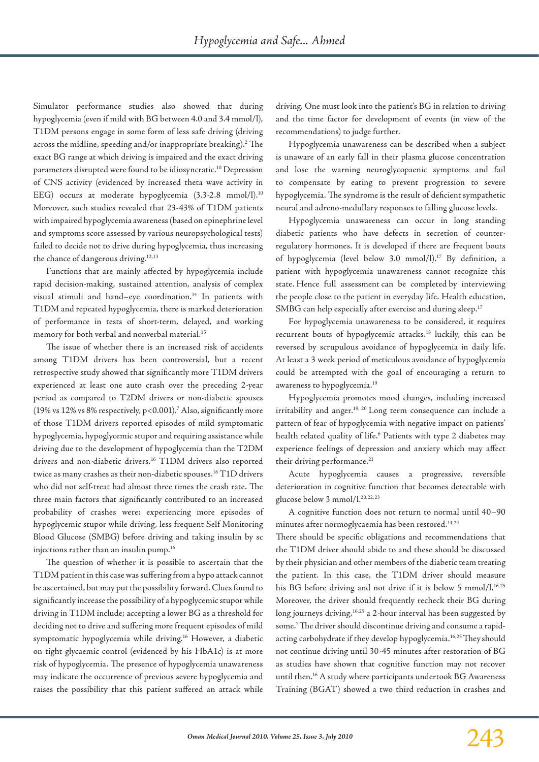Simulator performance studies also showed that during hypoglycemia (even if mild with BG between 4.0 and 3.4 mmol/l), T1DM persons engage in some form of less safe driving (driving across the midline, speeding and/or inappropriate breaking).<sup>2</sup> The exact BG range at which driving is impaired and the exact driving parameters disrupted were found to be idiosyncratic.<sup>10</sup> Depression of CNS activity (evidenced by increased theta wave activity in EEG) occurs at moderate hypoglycemia (3.3-2.8 mmol/l).<sup>10</sup> Moreover, such studies revealed that 23-43% of T1DM patients with impaired hypoglycemia awareness (based on epinephrinelevel and symptoms score assessed by various neuropsychological tests) failed to decide not to drive during hypoglycemia, thus increasing the chance of dangerous driving.<sup>12,13</sup>

Functions that are mainly affected by hypoglycemia include rapid decision-making, sustained attention, analysis of complex visual stimuli and hand–eye coordination. <sup>14</sup> In patients with T1DM and repeated hypoglycemia, there is marked deterioration of performance in tests of short-term, delayed, and working memory for both verbal and nonverbal material. 15

The issue of whether there is an increased risk of accidents among T1DM drivers has been controversial, but a recent retrospective study showed that significantly more T1DM drivers experienced at least one auto crash over the preceding 2-year period as compared to T2DM drivers or non-diabetic spouses (19% vs 12% vs 8% respectively, p<0.001).7 Also, significantly more of those T1DM drivers reported episodes of mild symptomatic hypoglycemia, hypoglycemic stupor and requiring assistance while driving due to the development of hypoglycemia than the T2DM drivers and non-diabetic drivers. <sup>16</sup> T1DM drivers also reported twice as many crashes as their non-diabetic spouses. $^{16}\mathrm{T1D}$  drivers who did not self-treat had almost three times the crash rate. The three main factors that significantly contributed to an increased probability of crashes were: experiencing more episodes of hypoglycemic stupor while driving, less frequent Self Monitoring Blood Glucose (SMBG) before driving and taking insulin by sc injections rather than an insulin pump. 16

The question of whether it is possible to ascertain that the T1DM patient in thiscase wassuffering from a hypo attack cannot be ascertained, but may put the possibility forward. Clues found to significantly increase the possibility of a hypoglycemic stupor while driving in T1DM include; accepting a lower BG as a threshold for deciding not to drive and suffering more frequent episodes of mild symptomatic hypoglycemia while driving. <sup>16</sup> However, a diabetic on tight glycaemic control (evidenced by his HbA1c) is at more risk of hypoglycemia. The presence of hypoglycemia unawareness may indicate the occurrence of previous severe hypoglycemia and raises the possibility that this patient suffered an attack while driving. One must look into the patient's BG in relation to driving and the time factor for development of events (in view of the recommendations) to judge further.

Hypoglycemia unawareness can be described when a subject is unaware of an early fall in their plasma glucose concentration and lose the warning neuroglycopaenic symptoms and fail to compensate by eating to prevent progression to severe hypoglycemia. The syndrome is the result of deficient sympathetic neural and adreno-medullary responses to falling glucose levels.

Hypoglycemia unawareness can occur in long standing diabetic patients who have defects in secretion of counterregulatory hormones. It is developed if there are frequent bouts of hypoglycemia (level below 3.0 mmol/l).<sup>17</sup> By definition, a patient with hypoglycemia unawareness cannot recognize this state. Hence full assessment can be completed by interviewing the people close to the patient in everyday life. Health education, SMBG can help especially after exercise and during sleep. 17

For hypoglycemia unawareness to be considered, it requires recurrent bouts of hypoglycemic attacks. <sup>18</sup> luckily, this can be reversed by scrupulous avoidance of hypoglycemia in daily life. At least a 3 week period of meticulous avoidance of hypoglycemia could be attempted with the goal of encouraging a return to awareness to hypoglycemia. 19

Hypoglycemia promotes mood changes, including increased irritability and anger.<sup>19, 20</sup> Long term consequence can include a pattern of fear of hypoglycemia with negative impact on patients' health related quality of life. <sup>6</sup> Patients with type 2 diabetes may experience feelings of depression and anxiety which may affect their driving performance. 21

Acute hypoglycemia causes a progressive, reversible deterioration in cognitive function that becomes detectable with glucose below 3 mmol/l. 20,22,23

A cognitive function does not return to normal until 40–90 minutes after normoglycaemia has been restored. 14,24

There should be specific obligations and recommendations that the T1DM driver should abide to and these should be discussed by their physician and other members of the diabetic team treating the patient. In this case, the T1DM driver should measure his BG before driving and not drive if it is below 5 mmol/l.<sup>16,25</sup> Moreover, the driver should frequently recheck their BG during long journeys driving, 16,25 a 2-hour interval has been suggested by some. 7The driver should discontinue driving and consume a rapidacting carbohydrate if they develop hypoglycemia. 16,25They should not continue driving until 30-45 minutes after restoration of BG as studies have shown that cognitive function may not recover until then. <sup>16</sup> A study where participants undertook BG Awareness Training (BGAT) showed a two third reduction in crashes and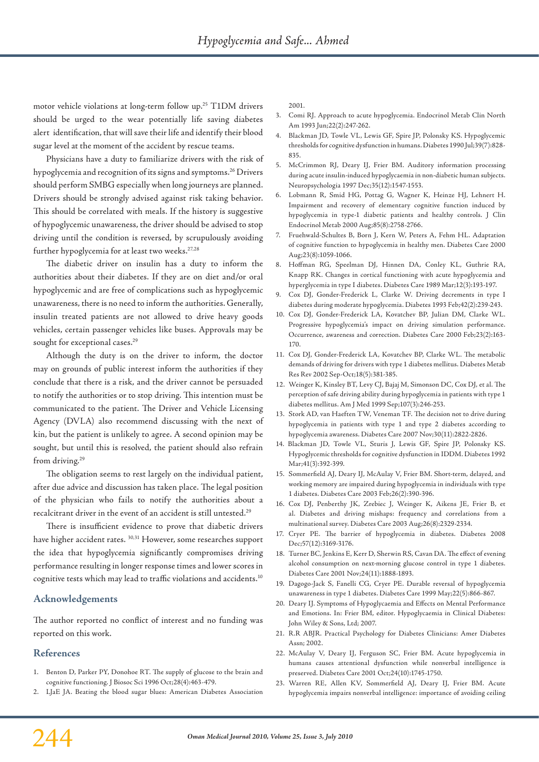motor vehicle violations at long-term follow up. <sup>25</sup> T1DM drivers should be urged to the wear potentially life saving diabetes alert identification, that will save their life and identify their blood sugar level at the moment of the accident by rescue teams.

Physicians have a duty to familiarize drivers with the risk of hypoglycemia and recognition of its signs and symptoms. <sup>26</sup> Drivers should perform SMBG especially when long journeys are planned. Drivers should be strongly advised against risk taking behavior. This should be correlated with meals. If the history is suggestive of hypoglycemic unawareness, the driver should be advised to stop driving until the condition is reversed, by scrupulously avoiding further hypoglycemia for at least two weeks. 27,28

The diabetic driver on insulin has a duty to inform the authorities about their diabetes. If they are on diet and/or oral hypoglycemic and are free of complications such as hypoglycemic unawareness, there is no need to inform the authorities. Generally, insulin treated patients are not allowed to drive heavy goods vehicles, certain passenger vehicles like buses. Approvals may be sought for exceptional cases. 29

Although the duty is on the driver to inform, the doctor may on grounds of public interest inform the authorities if they conclude that there is a risk, and the driver cannot be persuaded to notify the authorities or to stop driving. This intention must be communicated to the patient. The Driver and Vehicle Licensing Agency (DVLA) also recommend discussing with the next of kin, but the patient is unlikely to agree. A second opinion may be sought, but until this is resolved, the patient should also refrain from driving. 29

The obligation seems to rest largely on the individual patient, after due advice and discussion has taken place. The legal position of the physician who fails to notify the authorities about a recalcitrant driver in the event of an accident is still untested. $^{\rm 29}$ 

There is insufficient evidence to prove that diabetic drivers have higher accident rates. 30,31 However, some researches support the idea that hypoglycemia significantly compromises driving performance resulting in longer response times and lower scores in cognitive tests which may lead to traffic violations and accidents. $^{\rm 10}$ 

## **Acknowledgements**

The author reported no conflict of interest and no funding was reported on this work.

## **References**

- 1. Benton D, Parker PY, Donohoe RT. The supply of glucose to the brain and cognitive functioning. J Biosoc Sci 1996 Oct;28(4):463-479.
- 2. LJaE JA. Beating the blood sugar blues: American Diabetes Association

2001.

- 3. Comi RJ. Approach to acute hypoglycemia. Endocrinol Metab Clin North Am 1993 Jun;22(2):247-262.
- 4. Blackman JD, Towle VL, Lewis GF, Spire JP, Polonsky KS. Hypoglycemic thresholds for cognitive dysfunction in humans. Diabetes 1990 Jul;39(7):828- 835.
- 5. McCrimmon RJ, Deary IJ, Frier BM. Auditory information processing during acute insulin-induced hypoglycaemia in non-diabetic human subjects. Neuropsychologia 1997 Dec;35(12):1547-1553.
- 6. Lobmann R, Smid HG, Pottag G, Wagner K, Heinze HJ, Lehnert H. Impairment and recovery of elementary cognitive function induced by hypoglycemia in type-1 diabetic patients and healthy controls. J Clin Endocrinol Metab 2000 Aug;85(8):2758-2766.
- 7. Fruehwald-Schultes B, Born J, Kern W, Peters A, Fehm HL. Adaptation of cognitive function to hypoglycemia in healthy men. Diabetes Care 2000 Aug;23(8):1059-1066.
- 8. Hoffman RG, Speelman DJ, Hinnen DA, Conley KL, Guthrie RA, Knapp RK. Changes in cortical functioning with acute hypoglycemia and hyperglycemia in type I diabetes. Diabetes Care 1989 Mar;12(3):193-197.
- 9. Cox DJ, Gonder-Frederick L, Clarke W. Driving decrements in type I diabetes during moderate hypoglycemia. Diabetes 1993 Feb;42(2):239-243.
- 10. Cox DJ, Gonder-Frederick LA, Kovatchev BP, Julian DM, Clarke WL. Progressive hypoglycemia's impact on driving simulation performance. Occurrence, awareness and correction. Diabetes Care 2000 Feb;23(2):163- 170.
- 11. Cox DJ, Gonder-Frederick LA, Kovatchev BP, Clarke WL. The metabolic demands of driving for drivers with type 1 diabetes mellitus. Diabetes Metab Res Rev 2002 Sep-Oct;18(5):381-385.
- 12. Weinger K, Kinsley BT, Levy CJ, Bajaj M, Simonson DC, Cox DJ, et al. The perception of safe driving ability during hypoglycemia in patients with type 1 diabetes mellitus. Am J Med 1999 Sep;107(3):246-253.
- 13. Stork AD, van Haeften TW, Veneman TF. The decision not to drive during hypoglycemia in patients with type 1 and type 2 diabetes according to hypoglycemia awareness. Diabetes Care 2007 Nov;30(11):2822-2826.
- 14. Blackman JD, Towle VL, Sturis J, Lewis GF, Spire JP, Polonsky KS. Hypoglycemic thresholds for cognitive dysfunction in IDDM. Diabetes 1992 Mar;41(3):392-399.
- 15. Sommerfield AJ, Deary IJ, McAulay V, Frier BM. Short-term, delayed, and working memory are impaired during hypoglycemia in individuals with type 1 diabetes. Diabetes Care 2003 Feb;26(2):390-396.
- 16. Cox DJ, Penberthy JK, Zrebiec J, Weinger K, Aikens JE, Frier B, et al. Diabetes and driving mishaps: frequency and correlations from a multinational survey. Diabetes Care 2003 Aug;26(8):2329-2334.
- 17. Cryer PE. The barrier of hypoglycemia in diabetes. Diabetes 2008 Dec;57(12):3169-3176.
- 18. Turner BC, Jenkins E, Kerr D, Sherwin RS, Cavan DA. The effect of evening alcohol consumption on next-morning glucose control in type 1 diabetes. Diabetes Care 2001 Nov;24(11):1888-1893.
- 19. Dagogo-Jack S, Fanelli CG, Cryer PE. Durable reversal of hypoglycemia unawareness in type 1 diabetes. Diabetes Care 1999 May;22(5):866-867.
- 20. Deary IJ. Symptoms of Hypoglycaemia and Effects on Mental Performance and Emotions. In: Frier BM, editor. Hypoglycaemia in Clinical Diabetes: John Wiley & Sons, Ltd; 2007.
- 21. R.R ABJR. Practical Psychology for Diabetes Clinicians: Amer Diabetes Assn; 2002.
- 22. McAulay V, Deary IJ, Ferguson SC, Frier BM. Acute hypoglycemia in humans causes attentional dysfunction while nonverbal intelligence is preserved. Diabetes Care 2001 Oct;24(10):1745-1750.
- 23. Warren RE, Allen KV, Sommerfield AJ, Deary IJ, Frier BM. Acute hypoglycemia impairs nonverbal intelligence: importance of avoiding ceiling